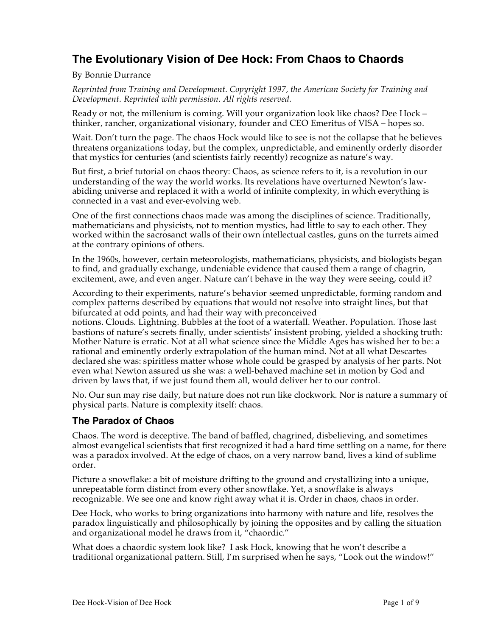# **The Evolutionary Vision of Dee Hock: From Chaos to Chaords**

By Bonnie Durrance

*Reprinted from Training and Development. Copyright 1997, the American Society for Training and Development. Reprinted with permission. All rights reserved.*

Ready or not, the millenium is coming. Will your organization look like chaos? Dee Hock – thinker, rancher, organizational visionary, founder and CEO Emeritus of VISA – hopes so.

Wait. Don't turn the page. The chaos Hock would like to see is not the collapse that he believes threatens organizations today, but the complex, unpredictable, and eminently orderly disorder that mystics for centuries (and scientists fairly recently) recognize as nature's way.

But first, a brief tutorial on chaos theory: Chaos, as science refers to it, is a revolution in our understanding of the way the world works. Its revelations have overturned Newton's lawabiding universe and replaced it with a world of infinite complexity, in which everything is connected in a vast and ever-evolving web.

One of the first connections chaos made was among the disciplines of science. Traditionally, mathematicians and physicists, not to mention mystics, had little to say to each other. They worked within the sacrosanct walls of their own intellectual castles, guns on the turrets aimed at the contrary opinions of others.

In the 1960s, however, certain meteorologists, mathematicians, physicists, and biologists began to find, and gradually exchange, undeniable evidence that caused them a range of chagrin, excitement, awe, and even anger. Nature can't behave in the way they were seeing, could it?

According to their experiments, nature's behavior seemed unpredictable, forming random and complex patterns described by equations that would not resolve into straight lines, but that bifurcated at odd points, and had their way with preconceived

notions. Clouds. Lightning. Bubbles at the foot of a waterfall. Weather. Population. Those last bastions of nature's secrets finally, under scientists' insistent probing, yielded a shocking truth: Mother Nature is erratic. Not at all what science since the Middle Ages has wished her to be: a rational and eminently orderly extrapolation of the human mind. Not at all what Descartes declared she was: spiritless matter whose whole could be grasped by analysis of her parts. Not even what Newton assured us she was: a well-behaved machine set in motion by God and driven by laws that, if we just found them all, would deliver her to our control.

No. Our sun may rise daily, but nature does not run like clockwork. Nor is nature a summary of physical parts. Nature is complexity itself: chaos.

## **The Paradox of Chaos**

Chaos. The word is deceptive. The band of baffled, chagrined, disbelieving, and sometimes almost evangelical scientists that first recognized it had a hard time settling on a name, for there was a paradox involved. At the edge of chaos, on a very narrow band, lives a kind of sublime order.

Picture a snowflake: a bit of moisture drifting to the ground and crystallizing into a unique, unrepeatable form distinct from every other snowflake. Yet, a snowflake is always recognizable. We see one and know right away what it is. Order in chaos, chaos in order.

Dee Hock, who works to bring organizations into harmony with nature and life, resolves the paradox linguistically and philosophically by joining the opposites and by calling the situation and organizational model he draws from it, "chaordic."

What does a chaordic system look like? I ask Hock, knowing that he won't describe a traditional organizational pattern. Still, I'm surprised when he says, "Look out the window!"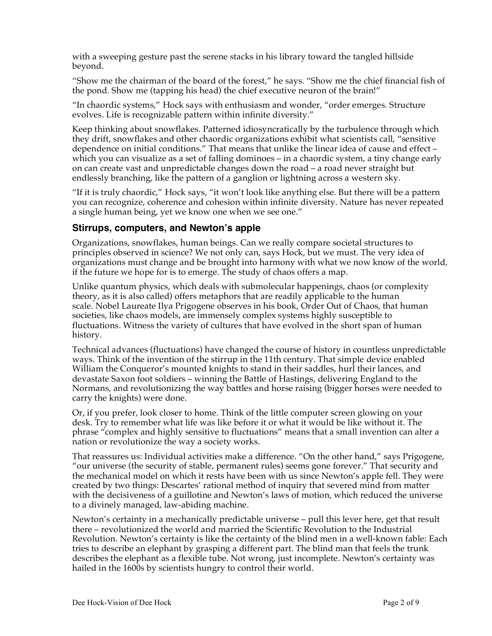with a sweeping gesture past the serene stacks in his library toward the tangled hillside beyond.

"Show me the chairman of the board of the forest," he says. "Show me the chief financial fish of the pond. Show me (tapping his head) the chief executive neuron of the brain!"

"In chaordic systems," Hock says with enthusiasm and wonder, "order emerges. Structure evolves. Life is recognizable pattern within infinite diversity."

Keep thinking about snowflakes. Patterned idiosyncratically by the turbulence through which they drift, snowflakes and other chaordic organizations exhibit what scientists call, "sensitive dependence on initial conditions." That means that unlike the linear idea of cause and effect – which you can visualize as a set of falling dominoes – in a chaordic system, a tiny change early on can create vast and unpredictable changes down the road – a road never straight but endlessly branching, like the pattern of a ganglion or lightning across a western sky.

"If it is truly chaordic," Hock says, "it won't look like anything else. But there will be a pattern you can recognize, coherence and cohesion within infinite diversity. Nature has never repeated a single human being, yet we know one when we see one."

#### **Stirrups, computers, and Newton's apple**

Organizations, snowflakes, human beings. Can we really compare societal structures to principles observed in science? We not only can, says Hock, but we must. The very idea of organizations must change and be brought into harmony with what we now know of the world, if the future we hope for is to emerge. The study of chaos offers a map.

Unlike quantum physics, which deals with submolecular happenings, chaos (or complexity theory, as it is also called) offers metaphors that are readily applicable to the human scale. Nobel Laureate Ilya Prigogene observes in his book, Order Out of Chaos, that human societies, like chaos models, are immensely complex systems highly susceptible to fluctuations. Witness the variety of cultures that have evolved in the short span of human history.

Technical advances (fluctuations) have changed the course of history in countless unpredictable ways. Think of the invention of the stirrup in the 11th century. That simple device enabled William the Conqueror's mounted knights to stand in their saddles, hurl their lances, and devastate Saxon foot soldiers – winning the Battle of Hastings, delivering England to the Normans, and revolutionizing the way battles and horse raising (bigger horses were needed to carry the knights) were done.

Or, if you prefer, look closer to home. Think of the little computer screen glowing on your desk. Try to remember what life was like before it or what it would be like without it. The phrase "complex and highly sensitive to fluctuations" means that a small invention can alter a nation or revolutionize the way a society works.

That reassures us: Individual activities make a difference. "On the other hand," says Prigogene, "our universe (the security of stable, permanent rules) seems gone forever." That security and the mechanical model on which it rests have been with us since Newton's apple fell. They were created by two things: Descartes' rational method of inquiry that severed mind from matter with the decisiveness of a guillotine and Newton's laws of motion, which reduced the universe to a divinely managed, law-abiding machine.

Newton's certainty in a mechanically predictable universe – pull this lever here, get that result there – revolutionized the world and married the Scientific Revolution to the Industrial Revolution. Newton's certainty is like the certainty of the blind men in a well-known fable: Each tries to describe an elephant by grasping a different part. The blind man that feels the trunk describes the elephant as a flexible tube. Not wrong, just incomplete. Newton's certainty was hailed in the 1600s by scientists hungry to control their world.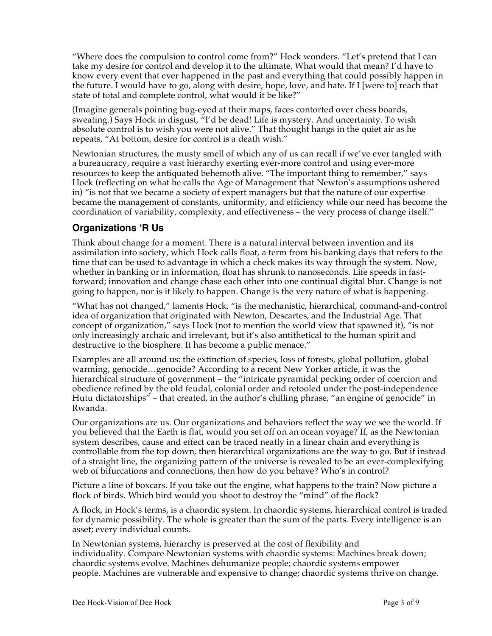"Where does the compulsion to control come from?" Hock wonders. "Let's pretend that I can take my desire for control and develop it to the ultimate. What would that mean? I'd have to know every event that ever happened in the past and everything that could possibly happen in the future. I would have to go, along with desire, hope, love, and hate. If I [were to] reach that state of total and complete control, what would it be like?"

(Imagine generals pointing bug-eyed at their maps, faces contorted over chess boards, sweating.) Says Hock in disgust, "I'd be dead! Life is mystery. And uncertainty. To wish absolute control is to wish you were not alive." That thought hangs in the quiet air as he repeats, "At bottom, desire for control is a death wish."

Newtonian structures, the musty smell of which any of us can recall if we've ever tangled with a bureaucracy, require a vast hierarchy exerting ever-more control and using ever-more resources to keep the antiquated behemoth alive. "The important thing to remember," says Hock (reflecting on what he calls the Age of Management that Newton's assumptions ushered in) "is not that we became a society of expert managers but that the nature of our expertise became the management of constants, uniformity, and efficiency while our need has become the coordination of variability, complexity, and effectiveness – the very process of change itself."

# **Organizations 'R Us**

Think about change for a moment. There is a natural interval between invention and its assimilation into society, which Hock calls float, a term from his banking days that refers to the time that can be used to advantage in which a check makes its way through the system. Now, whether in banking or in information, float has shrunk to nanoseconds. Life speeds in fastforward; innovation and change chase each other into one continual digital blur. Change is not going to happen, nor is it likely to happen. Change is the very nature of what is happening.

"What has not changed," laments Hock, "is the mechanistic, hierarchical, command-and-control idea of organization that originated with Newton, Descartes, and the Industrial Age. That concept of organization," says Hock (not to mention the world view that spawned it), "is not only increasingly archaic and irrelevant, but it's also antithetical to the human spirit and destructive to the biosphere. It has become a public menace."

Examples are all around us: the extinction of species, loss of forests, global pollution, global warming, genocide…genocide? According to a recent New Yorker article, it was the hierarchical structure of government – the "intricate pyramidal pecking order of coercion and obedience refined by the old feudal, colonial order and retooled under the post-independence Hutu dictatorships" – that created, in the author's chilling phrase, "an engine of genocide" in Rwanda.

Our organizations are us. Our organizations and behaviors reflect the way we see the world. If you believed that the Earth is flat, would you set off on an ocean voyage? If, as the Newtonian system describes, cause and effect can be traced neatly in a linear chain and everything is controllable from the top down, then hierarchical organizations are the way to go. But if instead of a straight line, the organizing pattern of the universe is revealed to be an ever-complexifying web of bifurcations and connections, then how do you behave? Who's in control?

Picture a line of boxcars. If you take out the engine, what happens to the train? Now picture a flock of birds. Which bird would you shoot to destroy the "mind" of the flock?

A flock, in Hock's terms, is a chaordic system. In chaordic systems, hierarchical control is traded for dynamic possibility. The whole is greater than the sum of the parts. Every intelligence is an asset; every individual counts.

In Newtonian systems, hierarchy is preserved at the cost of flexibility and individuality. Compare Newtonian systems with chaordic systems: Machines break down; chaordic systems evolve. Machines dehumanize people; chaordic systems empower people. Machines are vulnerable and expensive to change; chaordic systems thrive on change.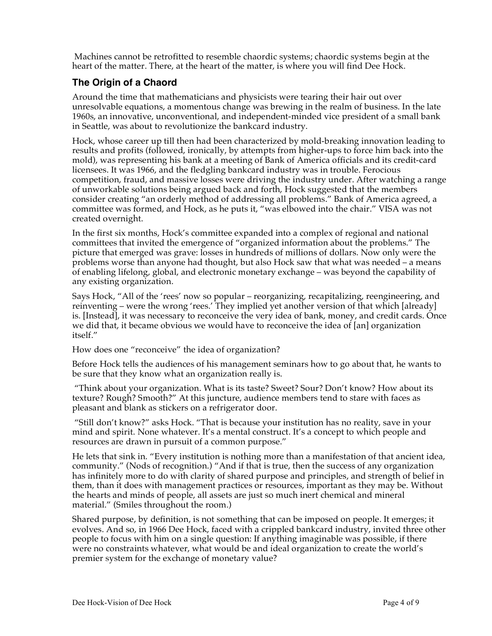Machines cannot be retrofitted to resemble chaordic systems; chaordic systems begin at the heart of the matter. There, at the heart of the matter, is where you will find Dee Hock.

### **The Origin of a Chaord**

Around the time that mathematicians and physicists were tearing their hair out over unresolvable equations, a momentous change was brewing in the realm of business. In the late 1960s, an innovative, unconventional, and independent-minded vice president of a small bank in Seattle, was about to revolutionize the bankcard industry.

Hock, whose career up till then had been characterized by mold-breaking innovation leading to results and profits (followed, ironically, by attempts from higher-ups to force him back into the mold), was representing his bank at a meeting of Bank of America officials and its credit-card licensees. It was 1966, and the fledgling bankcard industry was in trouble. Ferocious competition, fraud, and massive losses were driving the industry under. After watching a range of unworkable solutions being argued back and forth, Hock suggested that the members consider creating "an orderly method of addressing all problems." Bank of America agreed, a committee was formed, and Hock, as he puts it, "was elbowed into the chair." VISA was not created overnight.

In the first six months, Hock's committee expanded into a complex of regional and national committees that invited the emergence of "organized information about the problems." The picture that emerged was grave: losses in hundreds of millions of dollars. Now only were the problems worse than anyone had thought, but also Hock saw that what was needed – a means of enabling lifelong, global, and electronic monetary exchange – was beyond the capability of any existing organization.

Says Hock, "All of the 'rees' now so popular – reorganizing, recapitalizing, reengineering, and reinventing – were the wrong 'rees.' They implied yet another version of that which [already] is. [Instead], it was necessary to reconceive the very idea of bank, money, and credit cards. Once we did that, it became obvious we would have to reconceive the idea of [an] organization itself."

How does one "reconceive" the idea of organization?

Before Hock tells the audiences of his management seminars how to go about that, he wants to be sure that they know what an organization really is.

"Think about your organization. What is its taste? Sweet? Sour? Don't know? How about its texture? Rough? Smooth?" At this juncture, audience members tend to stare with faces as pleasant and blank as stickers on a refrigerator door.

"Still don't know?" asks Hock. "That is because your institution has no reality, save in your mind and spirit. None whatever. It's a mental construct. It's a concept to which people and resources are drawn in pursuit of a common purpose."

He lets that sink in. "Every institution is nothing more than a manifestation of that ancient idea, community." (Nods of recognition.) "And if that is true, then the success of any organization has infinitely more to do with clarity of shared purpose and principles, and strength of belief in them, than it does with management practices or resources, important as they may be. Without the hearts and minds of people, all assets are just so much inert chemical and mineral material." (Smiles throughout the room.)

Shared purpose, by definition, is not something that can be imposed on people. It emerges; it evolves. And so, in 1966 Dee Hock, faced with a crippled bankcard industry, invited three other people to focus with him on a single question: If anything imaginable was possible, if there were no constraints whatever, what would be and ideal organization to create the world's premier system for the exchange of monetary value?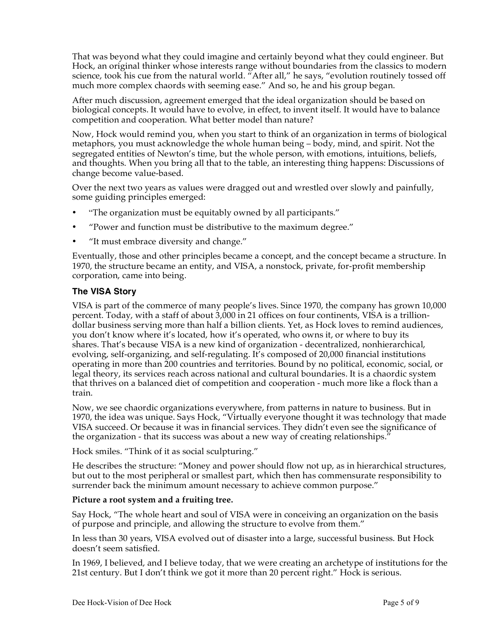That was beyond what they could imagine and certainly beyond what they could engineer. But Hock, an original thinker whose interests range without boundaries from the classics to modern science, took his cue from the natural world. "After all," he says, "evolution routinely tossed off much more complex chaords with seeming ease." And so, he and his group began.

After much discussion, agreement emerged that the ideal organization should be based on biological concepts. It would have to evolve, in effect, to invent itself. It would have to balance competition and cooperation. What better model than nature?

Now, Hock would remind you, when you start to think of an organization in terms of biological metaphors, you must acknowledge the whole human being – body, mind, and spirit. Not the segregated entities of Newton's time, but the whole person, with emotions, intuitions, beliefs, and thoughts. When you bring all that to the table, an interesting thing happens: Discussions of change become value-based.

Over the next two years as values were dragged out and wrestled over slowly and painfully, some guiding principles emerged:

- "The organization must be equitably owned by all participants."
- "Power and function must be distributive to the maximum degree."
- "It must embrace diversity and change."

Eventually, those and other principles became a concept, and the concept became a structure. In 1970, the structure became an entity, and VISA, a nonstock, private, for-profit membership corporation, came into being.

#### **The VISA Story**

VISA is part of the commerce of many people's lives. Since 1970, the company has grown 10,000 percent. Today, with a staff of about 3,000 in 21 offices on four continents, VISA is a trilliondollar business serving more than half a billion clients. Yet, as Hock loves to remind audiences, you don't know where it's located, how it's operated, who owns it, or where to buy its shares. That's because VISA is a new kind of organization - decentralized, nonhierarchical, evolving, self-organizing, and self-regulating. It's composed of 20,000 financial institutions operating in more than 200 countries and territories. Bound by no political, economic, social, or legal theory, its services reach across national and cultural boundaries. It is a chaordic system that thrives on a balanced diet of competition and cooperation - much more like a flock than a train.

Now, we see chaordic organizations everywhere, from patterns in nature to business. But in 1970, the idea was unique. Says Hock, "Virtually everyone thought it was technology that made VISA succeed. Or because it was in financial services. They didn't even see the significance of the organization - that its success was about a new way of creating relationships."

Hock smiles. "Think of it as social sculpturing."

He describes the structure: "Money and power should flow not up, as in hierarchical structures, but out to the most peripheral or smallest part, which then has commensurate responsibility to surrender back the minimum amount necessary to achieve common purpose."

#### **Picture a root system and a fruiting tree.**

Say Hock, "The whole heart and soul of VISA were in conceiving an organization on the basis of purpose and principle, and allowing the structure to evolve from them."

In less than 30 years, VISA evolved out of disaster into a large, successful business. But Hock doesn't seem satisfied.

In 1969, I believed, and I believe today, that we were creating an archetype of institutions for the 21st century. But I don't think we got it more than 20 percent right." Hock is serious.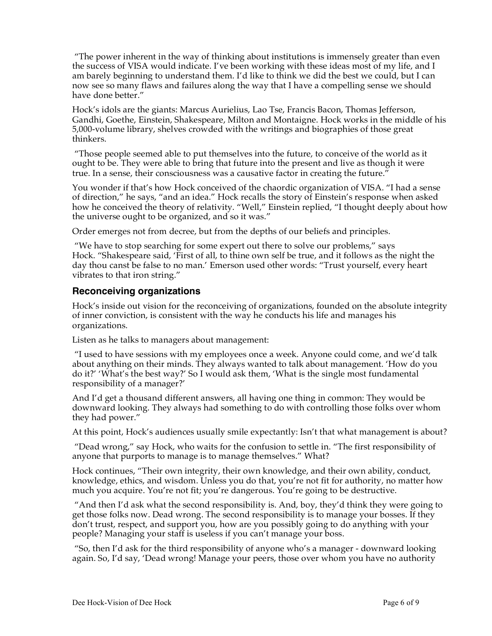"The power inherent in the way of thinking about institutions is immensely greater than even the success of VISA would indicate. I've been working with these ideas most of my life, and I am barely beginning to understand them. I'd like to think we did the best we could, but I can now see so many flaws and failures along the way that I have a compelling sense we should have done better."

Hock's idols are the giants: Marcus Aurielius, Lao Tse, Francis Bacon, Thomas Jefferson, Gandhi, Goethe, Einstein, Shakespeare, Milton and Montaigne. Hock works in the middle of his 5,000-volume library, shelves crowded with the writings and biographies of those great thinkers.

"Those people seemed able to put themselves into the future, to conceive of the world as it ought to be. They were able to bring that future into the present and live as though it were true. In a sense, their consciousness was a causative factor in creating the future."

You wonder if that's how Hock conceived of the chaordic organization of VISA. "I had a sense of direction," he says, "and an idea." Hock recalls the story of Einstein's response when asked how he conceived the theory of relativity. "Well," Einstein replied, "I thought deeply about how the universe ought to be organized, and so it was."

Order emerges not from decree, but from the depths of our beliefs and principles.

"We have to stop searching for some expert out there to solve our problems," says Hock. "Shakespeare said, 'First of all, to thine own self be true, and it follows as the night the day thou canst be false to no man.' Emerson used other words: "Trust yourself, every heart vibrates to that iron string."

### **Reconceiving organizations**

Hock's inside out vision for the reconceiving of organizations, founded on the absolute integrity of inner conviction, is consistent with the way he conducts his life and manages his organizations.

Listen as he talks to managers about management:

"I used to have sessions with my employees once a week. Anyone could come, and we'd talk about anything on their minds. They always wanted to talk about management. 'How do you do it?' 'What's the best way?' So I would ask them, 'What is the single most fundamental responsibility of a manager?'

And I'd get a thousand different answers, all having one thing in common: They would be downward looking. They always had something to do with controlling those folks over whom they had power."

At this point, Hock's audiences usually smile expectantly: Isn't that what management is about?

"Dead wrong," say Hock, who waits for the confusion to settle in. "The first responsibility of anyone that purports to manage is to manage themselves." What?

Hock continues, "Their own integrity, their own knowledge, and their own ability, conduct, knowledge, ethics, and wisdom. Unless you do that, you're not fit for authority, no matter how much you acquire. You're not fit; you're dangerous. You're going to be destructive.

"And then I'd ask what the second responsibility is. And, boy, they'd think they were going to get those folks now. Dead wrong. The second responsibility is to manage your bosses. If they don't trust, respect, and support you, how are you possibly going to do anything with your people? Managing your staff is useless if you can't manage your boss.

"So, then I'd ask for the third responsibility of anyone who's a manager - downward looking again. So, I'd say, 'Dead wrong! Manage your peers, those over whom you have no authority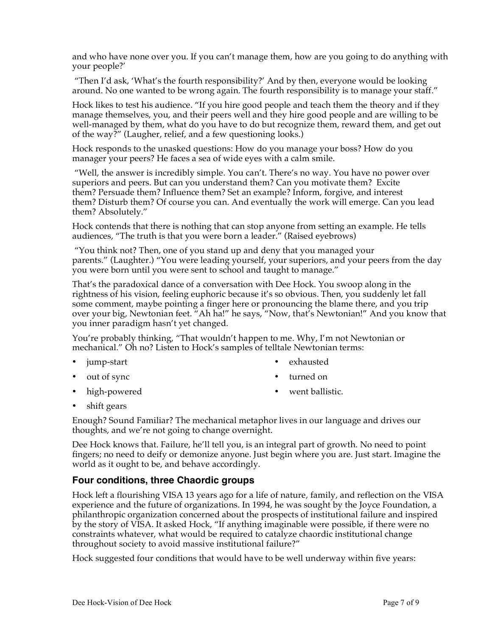and who have none over you. If you can't manage them, how are you going to do anything with your people?'

"Then I'd ask, 'What's the fourth responsibility?' And by then, everyone would be looking around. No one wanted to be wrong again. The fourth responsibility is to manage your staff."

Hock likes to test his audience. "If you hire good people and teach them the theory and if they manage themselves, you, and their peers well and they hire good people and are willing to be well-managed by them, what do you have to do but recognize them, reward them, and get out of the way?" (Laugher, relief, and a few questioning looks.)

Hock responds to the unasked questions: How do you manage your boss? How do you manager your peers? He faces a sea of wide eyes with a calm smile.

"Well, the answer is incredibly simple. You can't. There's no way. You have no power over superiors and peers. But can you understand them? Can you motivate them? Excite them? Persuade them? Influence them? Set an example? Inform, forgive, and interest them? Disturb them? Of course you can. And eventually the work will emerge. Can you lead them? Absolutely."

Hock contends that there is nothing that can stop anyone from setting an example. He tells audiences, "The truth is that you were born a leader." (Raised eyebrows)

"You think not? Then, one of you stand up and deny that you managed your parents." (Laughter.) "You were leading yourself, your superiors, and your peers from the day you were born until you were sent to school and taught to manage."

That's the paradoxical dance of a conversation with Dee Hock. You swoop along in the rightness of his vision, feeling euphoric because it's so obvious. Then, you suddenly let fall some comment, maybe pointing a finger here or pronouncing the blame there, and you trip over your big, Newtonian feet. "Ah ha!" he says, "Now, that's Newtonian!" And you know that you inner paradigm hasn't yet changed.

You're probably thinking, "That wouldn't happen to me. Why, I'm not Newtonian or mechanical." Oh no? Listen to Hock's samples of telltale Newtonian terms:

- jump-start
- out of sync
- high-powered
- exhausted
- turned on
- went ballistic.

• shift gears

Enough? Sound Familiar? The mechanical metaphor lives in our language and drives our thoughts, and we're not going to change overnight.

Dee Hock knows that. Failure, he'll tell you, is an integral part of growth. No need to point fingers; no need to deify or demonize anyone. Just begin where you are. Just start. Imagine the world as it ought to be, and behave accordingly.

### **Four conditions, three Chaordic groups**

Hock left a flourishing VISA 13 years ago for a life of nature, family, and reflection on the VISA experience and the future of organizations. In 1994, he was sought by the Joyce Foundation, a philanthropic organization concerned about the prospects of institutional failure and inspired by the story of VISA. It asked Hock, "If anything imaginable were possible, if there were no constraints whatever, what would be required to catalyze chaordic institutional change throughout society to avoid massive institutional failure?"

Hock suggested four conditions that would have to be well underway within five years: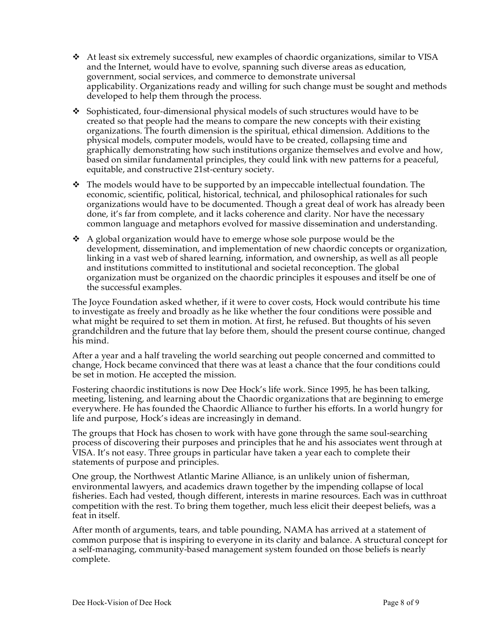- At least six extremely successful, new examples of chaordic organizations, similar to VISA and the Internet, would have to evolve, spanning such diverse areas as education, government, social services, and commerce to demonstrate universal applicability. Organizations ready and willing for such change must be sought and methods developed to help them through the process.
- $\div$  Sophisticated, four-dimensional physical models of such structures would have to be created so that people had the means to compare the new concepts with their existing organizations. The fourth dimension is the spiritual, ethical dimension. Additions to the physical models, computer models, would have to be created, collapsing time and graphically demonstrating how such institutions organize themselves and evolve and how, based on similar fundamental principles, they could link with new patterns for a peaceful, equitable, and constructive 21st-century society.
- $\div$  The models would have to be supported by an impeccable intellectual foundation. The economic, scientific, political, historical, technical, and philosophical rationales for such organizations would have to be documented. Though a great deal of work has already been done, it's far from complete, and it lacks coherence and clarity. Nor have the necessary common language and metaphors evolved for massive dissemination and understanding.
- $\triangle$  A global organization would have to emerge whose sole purpose would be the development, dissemination, and implementation of new chaordic concepts or organization, linking in a vast web of shared learning, information, and ownership, as well as all people and institutions committed to institutional and societal reconception. The global organization must be organized on the chaordic principles it espouses and itself be one of the successful examples.

The Joyce Foundation asked whether, if it were to cover costs, Hock would contribute his time to investigate as freely and broadly as he like whether the four conditions were possible and what might be required to set them in motion. At first, he refused. But thoughts of his seven grandchildren and the future that lay before them, should the present course continue, changed his mind.

After a year and a half traveling the world searching out people concerned and committed to change, Hock became convinced that there was at least a chance that the four conditions could be set in motion. He accepted the mission.

Fostering chaordic institutions is now Dee Hock's life work. Since 1995, he has been talking, meeting, listening, and learning about the Chaordic organizations that are beginning to emerge everywhere. He has founded the Chaordic Alliance to further his efforts. In a world hungry for life and purpose, Hock's ideas are increasingly in demand.

The groups that Hock has chosen to work with have gone through the same soul-searching process of discovering their purposes and principles that he and his associates went through at VISA. It's not easy. Three groups in particular have taken a year each to complete their statements of purpose and principles.

One group, the Northwest Atlantic Marine Alliance, is an unlikely union of fisherman, environmental lawyers, and academics drawn together by the impending collapse of local fisheries. Each had vested, though different, interests in marine resources. Each was in cutthroat competition with the rest. To bring them together, much less elicit their deepest beliefs, was a feat in itself.

After month of arguments, tears, and table pounding, NAMA has arrived at a statement of common purpose that is inspiring to everyone in its clarity and balance. A structural concept for a self-managing, community-based management system founded on those beliefs is nearly complete.